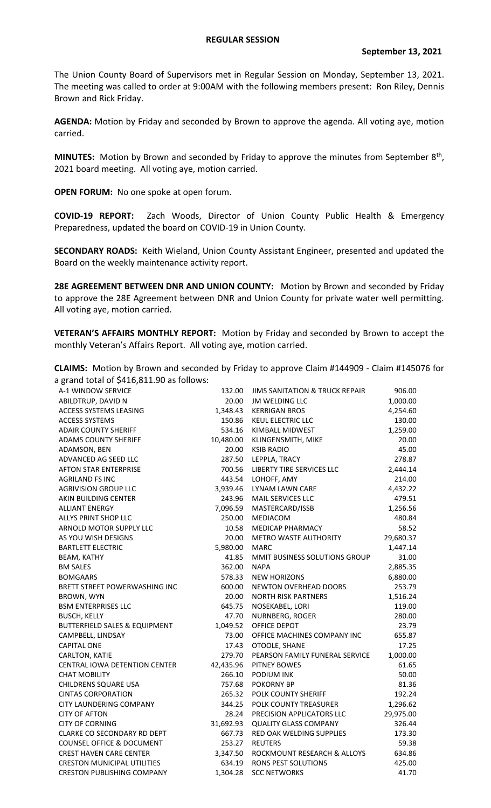## **REGULAR SESSION**

The Union County Board of Supervisors met in Regular Session on Monday, September 13, 2021. The meeting was called to order at 9:00AM with the following members present: Ron Riley, Dennis Brown and Rick Friday.

**AGENDA:** Motion by Friday and seconded by Brown to approve the agenda. All voting aye, motion carried.

MINUTES: Motion by Brown and seconded by Friday to approve the minutes from September 8<sup>th</sup>, 2021 board meeting. All voting aye, motion carried.

**OPEN FORUM:** No one spoke at open forum.

**COVID-19 REPORT:** Zach Woods, Director of Union County Public Health & Emergency Preparedness, updated the board on COVID-19 in Union County.

**SECONDARY ROADS:** Keith Wieland, Union County Assistant Engineer, presented and updated the Board on the weekly maintenance activity report.

**28E AGREEMENT BETWEEN DNR AND UNION COUNTY:** Motion by Brown and seconded by Friday to approve the 28E Agreement between DNR and Union County for private water well permitting. All voting aye, motion carried.

**VETERAN'S AFFAIRS MONTHLY REPORT:** Motion by Friday and seconded by Brown to accept the monthly Veteran's Affairs Report. All voting aye, motion carried.

|                                           | <b>CLAIMS:</b> Motion by Brown and seconded by Friday to approve Claim #144909 - Claim #145076 for |
|-------------------------------------------|----------------------------------------------------------------------------------------------------|
| a grand total of \$416,811.90 as follows: |                                                                                                    |

| $\mu$ grand total or $\varphi$ +10,011.50 as follows. |           |                                           |           |
|-------------------------------------------------------|-----------|-------------------------------------------|-----------|
| A-1 WINDOW SERVICE                                    | 132.00    | <b>JIMS SANITATION &amp; TRUCK REPAIR</b> | 906.00    |
| ABILDTRUP, DAVID N                                    | 20.00     | <b>JM WELDING LLC</b>                     | 1,000.00  |
| <b>ACCESS SYSTEMS LEASING</b>                         | 1,348.43  | <b>KERRIGAN BROS</b>                      | 4,254.60  |
| <b>ACCESS SYSTEMS</b>                                 | 150.86    | KEUL ELECTRIC LLC                         | 130.00    |
| <b>ADAIR COUNTY SHERIFF</b>                           | 534.16    | KIMBALL MIDWEST                           | 1,259.00  |
| <b>ADAMS COUNTY SHERIFF</b>                           | 10,480.00 | KLINGENSMITH, MIKE                        | 20.00     |
| ADAMSON, BEN                                          | 20.00     | <b>KSIB RADIO</b>                         | 45.00     |
| ADVANCED AG SEED LLC                                  | 287.50    | LEPPLA, TRACY                             | 278.87    |
| <b>AFTON STAR ENTERPRISE</b>                          | 700.56    | LIBERTY TIRE SERVICES LLC                 | 2,444.14  |
| <b>AGRILAND FS INC</b>                                | 443.54    | LOHOFF, AMY                               | 214.00    |
| AGRIVISION GROUP LLC                                  | 3,939.46  | LYNAM LAWN CARE                           | 4,432.22  |
| AKIN BUILDING CENTER                                  | 243.96    | MAIL SERVICES LLC                         | 479.51    |
| <b>ALLIANT ENERGY</b>                                 | 7,096.59  | MASTERCARD/ISSB                           | 1,256.56  |
| ALLYS PRINT SHOP LLC                                  | 250.00    | MEDIACOM                                  | 480.84    |
| ARNOLD MOTOR SUPPLY LLC                               | 10.58     | <b>MEDICAP PHARMACY</b>                   | 58.52     |
| AS YOU WISH DESIGNS                                   | 20.00     | <b>METRO WASTE AUTHORITY</b>              | 29,680.37 |
| <b>BARTLETT ELECTRIC</b>                              | 5,980.00  | <b>MARC</b>                               | 1,447.14  |
| <b>BEAM, KATHY</b>                                    | 41.85     | MMIT BUSINESS SOLUTIONS GROUP             | 31.00     |
| <b>BM SALES</b>                                       | 362.00    | <b>NAPA</b>                               | 2,885.35  |
| <b>BOMGAARS</b>                                       | 578.33    | <b>NEW HORIZONS</b>                       | 6,880.00  |
| BRETT STREET POWERWASHING INC                         | 600.00    | NEWTON OVERHEAD DOORS                     | 253.79    |
| <b>BROWN, WYN</b>                                     | 20.00     | <b>NORTH RISK PARTNERS</b>                | 1,516.24  |
| <b>BSM ENTERPRISES LLC</b>                            | 645.75    | NOSEKABEL, LORI                           | 119.00    |
| <b>BUSCH, KELLY</b>                                   | 47.70     | NURNBERG, ROGER                           | 280.00    |
| <b>BUTTERFIELD SALES &amp; EQUIPMENT</b>              | 1,049.52  | OFFICE DEPOT                              | 23.79     |
| CAMPBELL, LINDSAY                                     | 73.00     | OFFICE MACHINES COMPANY INC               | 655.87    |
| <b>CAPITAL ONE</b>                                    | 17.43     | OTOOLE, SHANE                             | 17.25     |
| CARLTON, KATIE                                        | 279.70    | PEARSON FAMILY FUNERAL SERVICE            | 1,000.00  |
| <b>CENTRAL IOWA DETENTION CENTER</b>                  | 42,435.96 | <b>PITNEY BOWES</b>                       | 61.65     |
| <b>CHAT MOBILITY</b>                                  | 266.10    | <b>PODIUM INK</b>                         | 50.00     |
| CHILDRENS SQUARE USA                                  | 757.68    | <b>POKORNY BP</b>                         | 81.36     |
| <b>CINTAS CORPORATION</b>                             | 265.32    | POLK COUNTY SHERIFF                       | 192.24    |
| CITY LAUNDERING COMPANY                               | 344.25    | POLK COUNTY TREASURER                     | 1,296.62  |
| <b>CITY OF AFTON</b>                                  | 28.24     | PRECISION APPLICATORS LLC                 | 29,975.00 |
| <b>CITY OF CORNING</b>                                | 31,692.93 | <b>QUALITY GLASS COMPANY</b>              | 326.44    |
| CLARKE CO SECONDARY RD DEPT                           | 667.73    | <b>RED OAK WELDING SUPPLIES</b>           | 173.30    |
| <b>COUNSEL OFFICE &amp; DOCUMENT</b>                  | 253.27    | <b>REUTERS</b>                            | 59.38     |
| <b>CREST HAVEN CARE CENTER</b>                        | 3,347.50  | ROCKMOUNT RESEARCH & ALLOYS               | 634.86    |
| <b>CRESTON MUNICIPAL UTILITIES</b>                    | 634.19    | RONS PEST SOLUTIONS                       | 425.00    |
| <b>CRESTON PUBLISHING COMPANY</b>                     | 1,304.28  | <b>SCC NETWORKS</b>                       | 41.70     |
|                                                       |           |                                           |           |